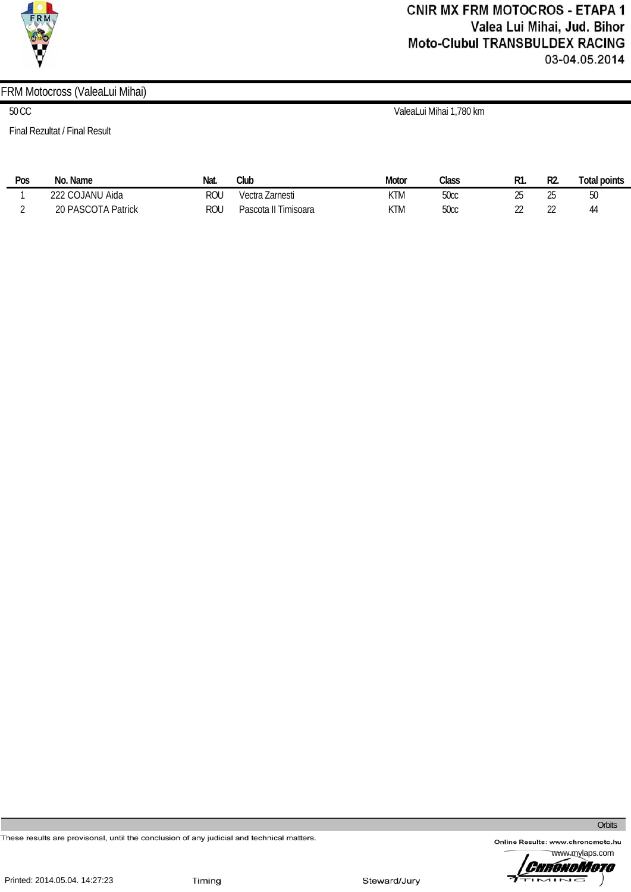

# **CNIR MX FRM MOTOCROS - ETAPA 1** Valea Lui Mihai, Jud. Bihor **Moto-Clubul TRANSBULDEX RACING** 03-04.05.2014

## FRM Motocross (ValeaLui Mihai)

Final Rezultat / Final Result

50 CC ValeaLui Mihai 1,780 km

| Pos | Name<br>No.        | Nat.       | Club                 | Motor | Class        | D1<br>πı.           | R2.         | Total points |
|-----|--------------------|------------|----------------------|-------|--------------|---------------------|-------------|--------------|
|     | 222 COJANU Aida    | וחח<br>RUL | Vectra Zarnesti      | KTM   | uuu          | ገፍ<br>∠∪            | ገር<br>ے     | JU           |
|     | 20 PASCOTA Patrick | וחח<br>⊀∪u | Timisoara<br>Pascota | KTM   | ნ∩∼∼<br>JUUL | $\sim$<br><u>__</u> | $\sim$<br>" | 44           |

These results are provisonal, until the conclusion of any judicial and technical matters.

Online Results: www.chronomoto.hu

**Orbits** 



Steward/Jury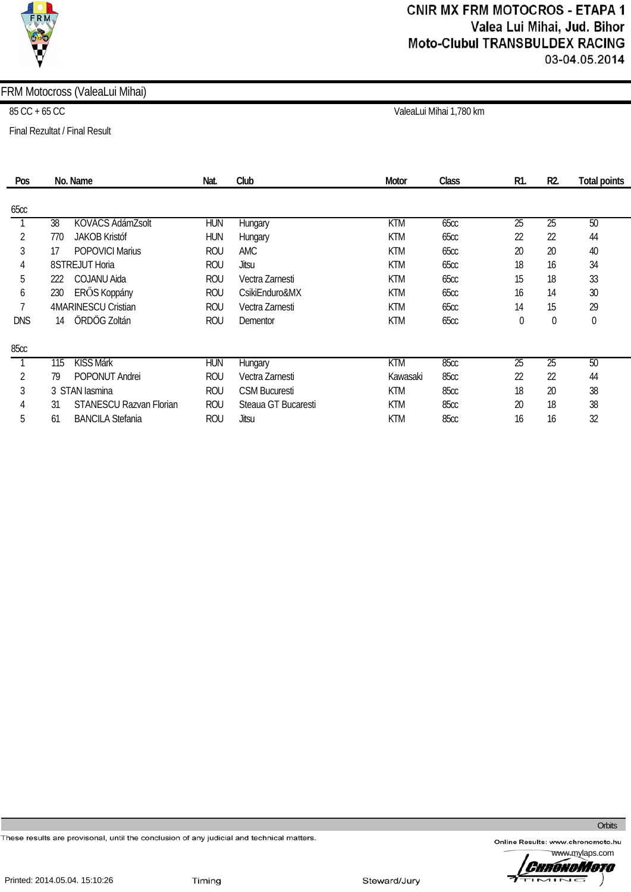

## FRM Motocross (ValeaLui Mihai)

Final Rezultat / Final Result

85 CC + 65 CC ValeaLui Mihai 1,780 km

| Pos          | No. Name                             | Nat.       | Club                 | <b>Motor</b> | Class       | R1.             | R <sub>2</sub>  | Total points |
|--------------|--------------------------------------|------------|----------------------|--------------|-------------|-----------------|-----------------|--------------|
| 65cc         |                                      |            |                      |              |             |                 |                 |              |
|              | KOVÁCS ÁdámZsolt<br>38               | <b>HUN</b> | Hungary              | <b>KTM</b>   | 65cc        | $\overline{25}$ | $\overline{25}$ | 50           |
| 2            | <b>JAKOB Kristóf</b><br>770          | <b>HUN</b> | Hungary              | <b>KTM</b>   | <b>65cc</b> | 22              | 22              | 44           |
| 3            | <b>POPOVICI Marius</b><br>17         | <b>ROU</b> | <b>AMC</b>           | <b>KTM</b>   | 65cc        | 20              | 20              | 40           |
| 4            | 8STREJUT Horia                       | <b>ROU</b> | Jitsu                | <b>KTM</b>   | 65cc        | 18              | 16              | 34           |
| 5            | <b>COJANU Aida</b><br>222            | <b>ROU</b> | Vectra Zarnesti      | <b>KTM</b>   | <b>65cc</b> | 15              | 18              | 33           |
| 6            | ERŐS Koppány<br>230                  | <b>ROU</b> | CsikiEnduro&MX       | <b>KTM</b>   | <b>65cc</b> | 16              | 14              | 30           |
| $\mathbf{r}$ | 4MARINESCU Cristian                  | <b>ROU</b> | Vectra Zarnesti      | <b>KTM</b>   | <b>65cc</b> | 14              | 15              | 29           |
| <b>DNS</b>   | ÖRDÖG Zoltán<br>14                   | <b>ROU</b> | Dementor             | <b>KTM</b>   | <b>65cc</b> | 0               | 0               | $\theta$     |
| 85cc         |                                      |            |                      |              |             |                 |                 |              |
|              | <b>KISS Márk</b><br>115              | <b>HUN</b> | Hungary              | <b>KTM</b>   | 85cc        | $\overline{25}$ | $\overline{25}$ | 50           |
| 2            | <b>POPONUT Andrei</b><br>79          | <b>ROU</b> | Vectra Zarnesti      | Kawasaki     | <b>85cc</b> | 22              | 22              | 44           |
| 3            | 3 STAN lasmina                       | <b>ROU</b> | <b>CSM Bucuresti</b> | <b>KTM</b>   | 85cc        | 18              | 20              | 38           |
| 4            | <b>STANESCU Razvan Florian</b><br>31 | <b>ROU</b> | Steaua GT Bucaresti  | <b>KTM</b>   | 85cc        | 20              | 18              | 38           |
| 5            | <b>BANCILA Stefania</b><br>61        | <b>ROU</b> | Jitsu                | <b>KTM</b>   | <b>85cc</b> | 16              | 16              | 32           |

These results are provisonal, until the conclusion of any judicial and technical matters.

Online Results: www.chronomoto.hu

**Orbits** 

www.mylaps.com ChrónoMoto  $\overline{1}$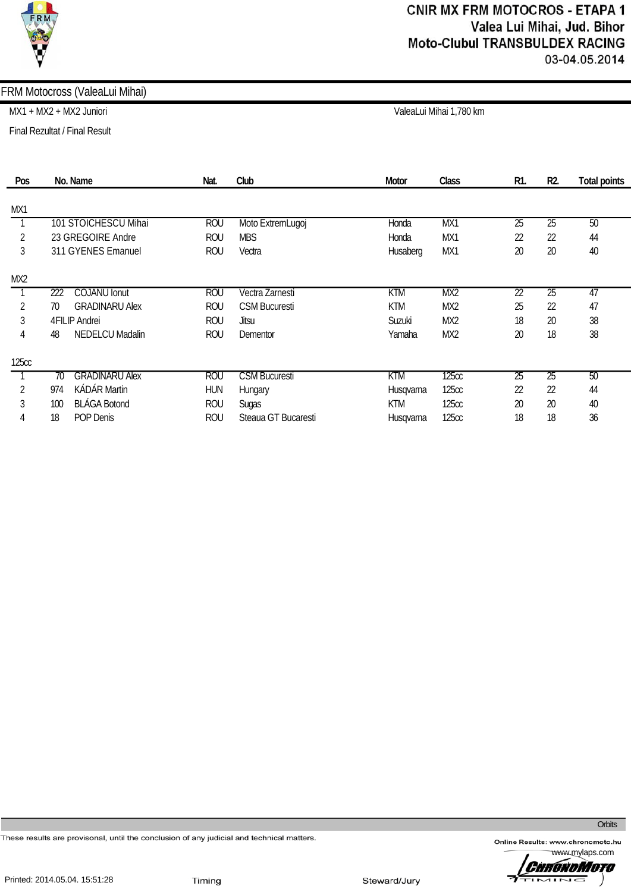### FRM Motocross (ValeaLui Mihai)

MX1 + MX2 + MX2 Juniori ValeaLui Mihai 1,780 km

Final Rezultat / Final Result

| Pos          | No. Name                     | Nat.       | Club                 | Motor      | Class           | R1.             | R <sub>2</sub>  | <b>Total points</b> |
|--------------|------------------------------|------------|----------------------|------------|-----------------|-----------------|-----------------|---------------------|
| MX1          |                              |            |                      |            |                 |                 |                 |                     |
|              | 101 STOICHESCU Mihai         | <b>ROU</b> | Moto ExtremLugoj     | Honda      | MX1             | $\overline{25}$ | $\overline{25}$ | 50                  |
| 2            | 23 GREGOIRE Andre            | <b>ROU</b> | <b>MBS</b>           | Honda      | MX1             | 22              | 22              | 44                  |
| 3            | 311 GYENES Emanuel           | <b>ROU</b> | Vectra               | Husaberg   | MX1             | 20              | 20              | 40                  |
| MX2          |                              |            |                      |            |                 |                 |                 |                     |
|              | 222<br><b>COJANU</b> Ionut   | <b>ROU</b> | Vectra Zarnesti      | <b>KTM</b> | MX <sub>2</sub> | $\overline{22}$ | $\overline{25}$ | 47                  |
| 2            | <b>GRADINARU Alex</b><br>70  | <b>ROU</b> | <b>CSM Bucuresti</b> | <b>KTM</b> | MX <sub>2</sub> | 25              | 22              | 47                  |
| 3            | 4FILIP Andrei                | <b>ROU</b> | Jitsu                | Suzuki     | MX <sub>2</sub> | 18              | 20              | 38                  |
| 4            | <b>NEDELCU Madalin</b><br>48 | <b>ROU</b> | Dementor             | Yamaha     | MX2             | 20              | 18              | 38                  |
| <b>125cc</b> |                              |            |                      |            |                 |                 |                 |                     |
|              | <b>GRADINARU Alex</b><br>70  | <b>ROU</b> | <b>CSM Bucuresti</b> | KTM        | <b>125cc</b>    | 25              | 25              | 50                  |
| 2            | <b>KÁDÁR Martin</b><br>974   | <b>HUN</b> | Hungary              | Husqvarna  | 125cc           | 22              | 22              | 44                  |
| 3            | <b>BLÁGA Botond</b><br>100   | <b>ROU</b> | Sugas                | <b>KTM</b> | <b>125cc</b>    | 20              | 20              | 40                  |
| 4            | POP Denis<br>18              | <b>ROU</b> | Steaua GT Bucaresti  | Husqvarna  | <b>125cc</b>    | 18              | 18              | 36                  |

These results are provisonal, until the conclusion of any judicial and technical matters.

**Orbits** 

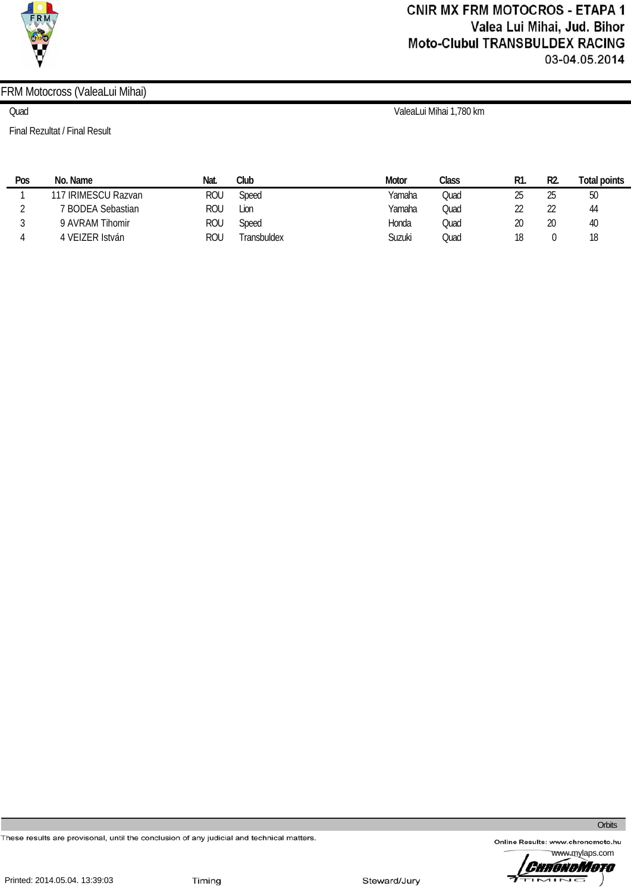

# **CNIR MX FRM MOTOCROS - ETAPA 1** Valea Lui Mihai, Jud. Bihor **Moto-Clubul TRANSBULDEX RACING** 03-04.05.2014

## FRM Motocross (ValeaLui Mihai)

Final Rezultat / Final Result

Quad ValeaLui Mihai 1,780 km

| Pos | No. Name            | Nat. | Club        | <b>Motor</b> | Class | R1. | R2. | Total points |
|-----|---------------------|------|-------------|--------------|-------|-----|-----|--------------|
|     | 117 IRIMESCU Razvan | rou  | Speed       | Yamaha       | Quad  | 25  | 25  | 50           |
|     | 7 BODEA Sebastian   | ROU  | Lion        | Yamaha       | Quad  | ŽŽ  | 22  | 44           |
|     | 9 AVRAM Tihomir     | rou  | Speed       | Honda        | Quad  | 20  | 20  | 40           |
|     | 4 VEIZER István     | rou  | Transbuldex | Suzuki       | Quad  | 18  |     | 18           |

These results are provisonal, until the conclusion of any judicial and technical matters.

Online Results: www.chronomoto.hu

**Orbits**